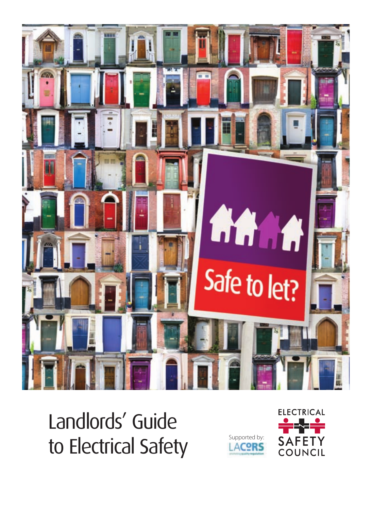

Landlords' Guide to Electrical Safety **EACORS** 



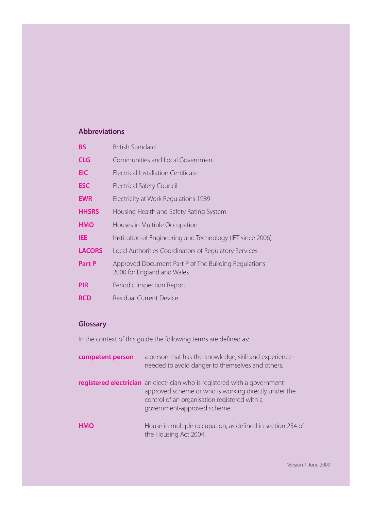### **Abbreviations**

| <b>BS</b>     | <b>British Standard</b>                                                            |
|---------------|------------------------------------------------------------------------------------|
| <b>CLG</b>    | Communities and Local Government                                                   |
| <b>EIC</b>    | <b>Flectrical Installation Certificate</b>                                         |
| <b>ESC</b>    | Electrical Safety Council                                                          |
| <b>EWR</b>    | Electricity at Work Regulations 1989                                               |
| <b>HHSRS</b>  | Housing Health and Safety Rating System                                            |
| <b>HMO</b>    | Houses in Multiple Occupation                                                      |
| IEE           | Institution of Engineering and Technology (IET since 2006)                         |
| <b>LACORS</b> | Local Authorities Coordinators of Regulatory Services                              |
| Part P        | Approved Document Part P of The Building Regulations<br>2000 for England and Wales |
| <b>PIR</b>    | Periodic Inspection Report                                                         |
| <b>RCD</b>    | Residual Current Device                                                            |

### **Glossary**

In the context of this guide the following terms are defined as:

| competent person | a person that has the knowledge, skill and experience<br>needed to avoid danger to themselves and others.                                                                                                         |
|------------------|-------------------------------------------------------------------------------------------------------------------------------------------------------------------------------------------------------------------|
|                  | registered electrician an electrician who is registered with a government-<br>approved scheme or who is working directly under the<br>control of an organisation registered with a<br>government-approved scheme. |
| <b>HMO</b>       | House in multiple occupation, as defined in section 254 of<br>the Housing Act 2004.                                                                                                                               |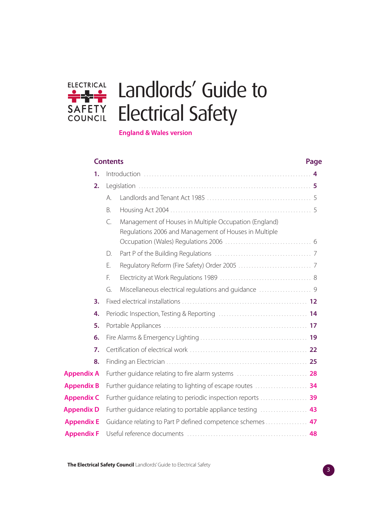

# Landlords' Guide to Electrical Safety

| <b>England &amp; Wales version</b> |  |
|------------------------------------|--|
|------------------------------------|--|

|                   | <b>Contents</b> |                                                                                                                | Page |
|-------------------|-----------------|----------------------------------------------------------------------------------------------------------------|------|
| 1.                |                 |                                                                                                                |      |
| 2.                |                 |                                                                                                                |      |
|                   | А.              |                                                                                                                |      |
|                   | B.              |                                                                                                                |      |
|                   | $\subset$       | Management of Houses in Multiple Occupation (England)<br>Regulations 2006 and Management of Houses in Multiple |      |
|                   | D.              |                                                                                                                |      |
|                   | Ε.              |                                                                                                                |      |
|                   | F.              |                                                                                                                |      |
|                   | G.              |                                                                                                                |      |
| 3.                |                 |                                                                                                                |      |
| 4.                |                 |                                                                                                                |      |
| 5.                |                 |                                                                                                                |      |
| 6.                |                 |                                                                                                                |      |
| 7.                |                 |                                                                                                                |      |
| 8.                |                 |                                                                                                                |      |
| <b>Appendix A</b> |                 |                                                                                                                |      |
| <b>Appendix B</b> |                 |                                                                                                                |      |
| <b>Appendix C</b> |                 | Further guidance relating to periodic inspection reports  39                                                   |      |
| <b>Appendix D</b> |                 |                                                                                                                |      |
| <b>Appendix E</b> |                 | Guidance relating to Part P defined competence schemes  47                                                     |      |
| <b>Appendix F</b> |                 |                                                                                                                |      |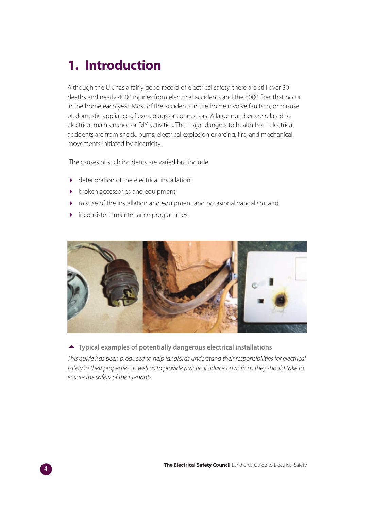# **1. Introduction**

Although the UK has a fairly good record of electrical safety, there are still over 30 deaths and nearly 4000 injuries from electrical accidents and the 8000 fires that occur in the home each year. Most of the accidents in the home involve faults in, or misuse of, domestic appliances, flexes, plugs or connectors. A large number are related to electrical maintenance or DIY activities. The major dangers to health from electrical accidents are from shock, burns, electrical explosion or arcing, fire, and mechanical movements initiated by electricity.

The causes of such incidents are varied but include:

- deterioration of the electrical installation;
- broken accessories and equipment;
- misuse of the installation and equipment and occasional vandalism; and
- inconsistent maintenance programmes.



**Typical examples of potentially dangerous electrical installations** 

This guide has been produced to help landlords understand their responsibilities for electrical safety in their properties as well as to provide practical advice on actions they should take to ensure the safety of their tenants.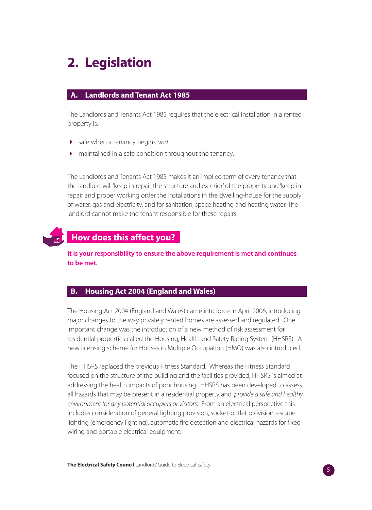# **2. Legislation**

#### **Landlords and Tenant Act 1985**

The Landlords and Tenants Act 1985 requires that the electrical installation in a rented property is:

- safe when a tenancy begins and
- maintained in a safe condition throughout the tenancy.

The Landlords and Tenants Act 1985 makes it an implied term of every tenancy that the landlord will 'keep in repair the structure and exterior' of the property and 'keep in repair and proper working order the installations in the dwelling-house for the supply of water, gas and electricity, and for sanitation, space heating and heating water. The landlord cannot make the tenant responsible for these repairs.



### **How does this affect you?..**

**It is your responsibility to ensure the above requirement is met and continues to be met.**

#### **B. Housing Act 2004 (England and Wales)**

The Housing Act 2004 (England and Wales) came into force in April 2006, introducing major changes to the way privately rented homes are assessed and regulated. One important change was the introduction of a new method of risk assessment for residential properties called the Housing, Health and Safety Rating System (HHSRS). A new licensing scheme for Houses in Multiple Occupation (HMO) was also introduced.

The HHSRS replaced the previous Fitness Standard. Whereas the Fitness Standard focused on the structure of the building and the facilities provided, HHSRS is aimed at addressing the health impacts of poor housing. HHSRS has been developed to assess all hazards that may be present in a residential property and 'provide a safe and healthy environment for any potential occupiers or visitors'. From an electrical perspective this includes consideration of general lighting provision, socket-outlet provision, escape lighting (emergency lighting), automatic fire detection and electrical hazards for fixed wiring and portable electrical equipment.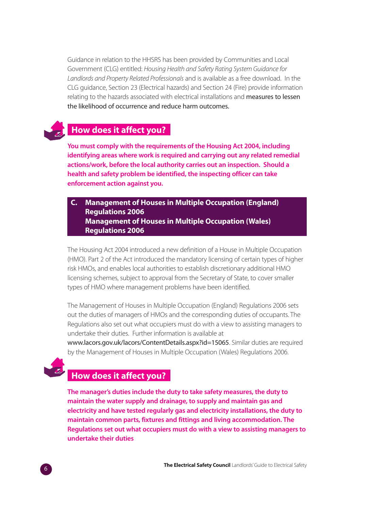Guidance in relation to the HHSRS has been provided by Communities and Local Government (CLG) entitled: Housing Health and Safety Rating System Guidance for Landlords and Property Related Professionals and is available as a free download. In the CLG guidance, Section 23 (Electrical hazards) and Section 24 (Fire) provide information relating to the hazards associated with electrical installations and measures to lessen the likelihood of occurrence and reduce harm outcomes.

### **How does it affect you?**

**You must comply with the requirements of the Housing Act 2004, including identifying areas where work is required and carrying out any related remedial actions/work, before the local authority carries out an inspection. Should a health and safety problem be identified, the inspecting officer can take enforcement action against you.** 

**C. Management of Houses in Multiple Occupation (England) Regulations 2006 Management of Houses in Multiple Occupation (Wales) Regulations 2006**

The Housing Act 2004 introduced a new definition of a House in Multiple Occupation (HMO). Part 2 of the Act introduced the mandatory licensing of certain types of higher risk HMOs, and enables local authorities to establish discretionary additional HMO licensing schemes, subject to approval from the Secretary of State, to cover smaller types of HMO where management problems have been identified.

The Management of Houses in Multiple Occupation (England) Regulations 2006 sets out the duties of managers of HMOs and the corresponding duties of occupants. The Regulations also set out what occupiers must do with a view to assisting managers to undertake their duties. Further information is available at

www.lacors.gov.uk/lacors/ContentDetails.aspx?id=15065. Similar duties are required by the Management of Houses in Multiple Occupation (Wales) Regulations 2006.



# **How does it affect you?**

**The manager's duties include the duty to take safety measures, the duty to maintain the water supply and drainage, to supply and maintain gas and electricity and have tested regularly gas and electricity installations, the duty to maintain common parts, fixtures and fittings and living accommodation. The Regulations set out what occupiers must do with a view to assisting managers to undertake their duties**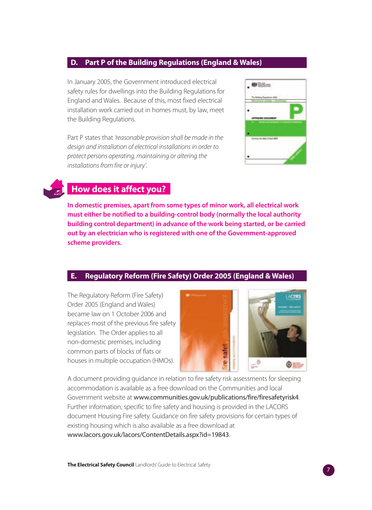#### **D. Part P of the Building Regulations (England & Wales)**

In January 2005, the Government introduced electrical safety rules for dwellings into the Building Regulations for England and Wales. Because of this, most fixed electrical installation work carried out in homes must, by law, meet the Building Regulations.

Part P states that 'reasonable provision shall be made in the design and installation of electrical installations in order to protect persons operating, maintaining or altering the installations from fire or injury'.



### **How does it affect you?..**

**In domestic premises, apart from some types of minor work, all electrical work must either be notified to a building-control body (normally the local authority building control department) in advance of the work being started, or be carried out by an electrician who is registered with one of the Government-approved scheme providers.** 

### **E. Regulatory Reform (Fire Safety) Order 2005 (England & Wales)**

The Regulatory Reform (Fire Safety) Order 2005 (England and Wales) became law on 1 October 2006 and replaces most of the previous fire safety legislation. The Order applies to all non-domestic premises, including common parts of blocks of flats or houses in multiple occupation (HMOs).



A document providing guidance in relation to fire safety risk assessments for sleeping accommodation is available as a free download on the Communities and local Government website at www.communities.gov.uk/publications/fire/firesafetyrisk4. Further information, specific to fire safety and housing is provided in the LACORS document Housing Fire safety. Guidance on fire safety provisions for certain types of existing housing which is also available as a free download at www.lacors.gov.uk/lacors/ContentDetails.aspx?id=19843.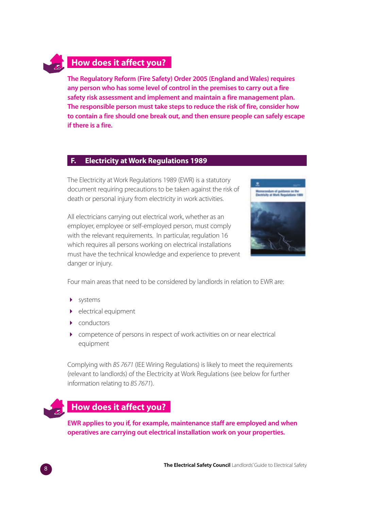### **How does it affect you?**

**The Regulatory Reform (Fire Safety) Order 2005 (England and Wales) requires any person who has some level of control in the premises to carry out a fire safety risk assessment and implement and maintain a fire management plan. The responsible person must take steps to reduce the risk of fire, consider how to contain a fire should one break out, and then ensure people can safely escape if there is a fire.**

#### **F. Electricity at Work Regulations 1989**

The Electricity at Work Regulations 1989 (EWR) is a statutory document requiring precautions to be taken against the risk of death or personal injury from electricity in work activities.

All electricians carrying out electrical work, whether as an employer, employee or self-employed person, must comply with the relevant requirements. In particular, regulation 16 which requires all persons working on electrical installations must have the technical knowledge and experience to prevent danger or injury.



Four main areas that need to be considered by landlords in relation to EWR are:

- systems
- electrical equipment
- conductors
- competence of persons in respect of work activities on or near electrical equipment

Complying with BS 7671 (IEE Wiring Regulations) is likely to meet the requirements (relevant to landlords) of the Electricity at Work Regulations (see below for further information relating to BS 7671).



### **How does it affect you?..**

**EWR applies to you if, for example, maintenance staff are employed and when operatives are carrying out electrical installation work on your properties.**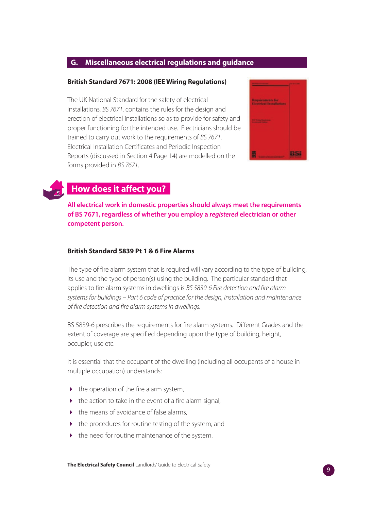#### **G. Miscellaneous electrical regulations and guidance**

#### **British Standard 7671: 2008 (IEE Wiring Regulations)**

The UK National Standard for the safety of electrical installations, BS 7671, contains the rules for the design and erection of electrical installations so as to provide for safety and proper functioning for the intended use. Electricians should be trained to carry out work to the requirements of BS 7671. Electrical Installation Certificates and Periodic Inspection Reports (discussed in Section 4 Page 14) are modelled on the forms provided in BS 7671.





### **How does it affect you?..**

**All electrical work in domestic properties should always meet the requirements of BS 7671, regardless of whether you employ a registered electrician or other competent person.** 

#### **British Standard 5839 Pt 1 & 6 Fire Alarms**

The type of fire alarm system that is required will vary according to the type of building, its use and the type of person(s) using the building. The particular standard that applies to fire alarm systems in dwellings is BS 5839-6 Fire detection and fire alarm systems for buildings – Part 6 code of practice for the design, installation and maintenance of fire detection and fire alarm systems in dwellings.

BS 5839-6 prescribes the requirements for fire alarm systems. Different Grades and the extent of coverage are specified depending upon the type of building, height, occupier, use etc.

It is essential that the occupant of the dwelling (including all occupants of a house in multiple occupation) understands:

- the operation of the fire alarm system,
- the action to take in the event of a fire alarm signal,
- the means of avoidance of false alarms,
- the procedures for routine testing of the system, and
- $\blacktriangleright$  the need for routine maintenance of the system.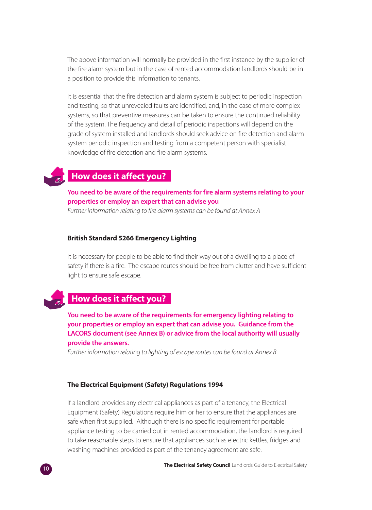The above information will normally be provided in the first instance by the supplier of the fire alarm system but in the case of rented accommodation landlords should be in a position to provide this information to tenants.

It is essential that the fire detection and alarm system is subject to periodic inspection and testing, so that unrevealed faults are identified, and, in the case of more complex systems, so that preventive measures can be taken to ensure the continued reliability of the system. The frequency and detail of periodic inspections will depend on the grade of system installed and landlords should seek advice on fire detection and alarm system periodic inspection and testing from a competent person with specialist knowledge of fire detection and fire alarm systems.

### **How does it affect you?**

#### **You need to be aware of the requirements for fire alarm systems relating to your properties or employ an expert that can advise you**

Further information relating to fire alarm systems can be found at Annex A

#### **British Standard 5266 Emergency Lighting**

It is necessary for people to be able to find their way out of a dwelling to a place of safety if there is a fire. The escape routes should be free from clutter and have sufficient light to ensure safe escape.

### **How does it affect you?..**

**You need to be aware of the requirements for emergency lighting relating to your properties or employ an expert that can advise you. Guidance from the LACORS document (see Annex B) or advice from the local authority will usually provide the answers.**

Further information relating to lighting of escape routes can be found at Annex B

#### **The Electrical Equipment (Safety) Regulations 1994**

If a landlord provides any electrical appliances as part of a tenancy, the Electrical Equipment (Safety) Regulations require him or her to ensure that the appliances are safe when first supplied. Although there is no specific requirement for portable appliance testing to be carried out in rented accommodation, the landlord is required to take reasonable steps to ensure that appliances such as electric kettles, fridges and washing machines provided as part of the tenancy agreement are safe.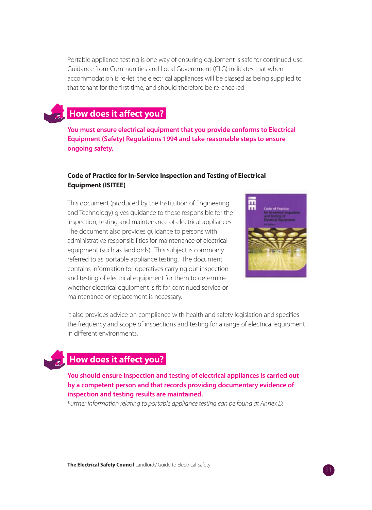Portable appliance testing is one way of ensuring equipment is safe for continued use. Guidance from Communities and Local Government (CLG) indicates that when accommodation is re-let, the electrical appliances will be classed as being supplied to that tenant for the first time, and should therefore be re-checked.

### **How does it affect you?.**

**You must ensure electrical equipment that you provide conforms to Electrical Equipment (Safety) Regulations 1994 and take reasonable steps to ensure ongoing safety.**

#### **Code of Practice for In-Service Inspection and Testing of Electrical Equipment (ISITEE)**

This document (produced by the Institution of Engineering and Technology) gives guidance to those responsible for the inspection, testing and maintenance of electrical appliances. The document also provides guidance to persons with administrative responsibilities for maintenance of electrical equipment (such as landlords). This subject is commonly referred to as 'portable appliance testing'. The document contains information for operatives carrying out inspection and testing of electrical equipment for them to determine whether electrical equipment is fit for continued service or maintenance or replacement is necessary.



It also provides advice on compliance with health and safety legislation and specifies the frequency and scope of inspections and testing for a range of electrical equipment in different environments.

### **How does it affect you?.**

**You should ensure inspection and testing of electrical appliances is carried out by a competent person and that records providing documentary evidence of inspection and testing results are maintained.**

Further information relating to portable appliance testing can be found at Annex D.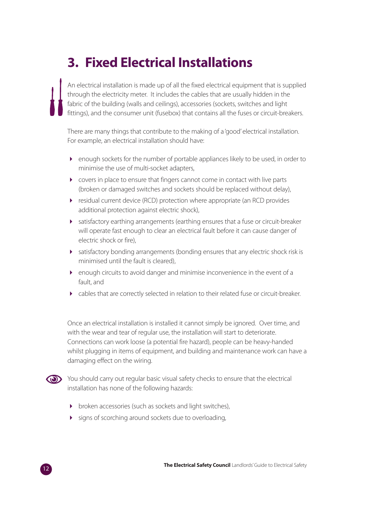# **3. Fixed Electrical Installations**

An electrical installation is made up of all the fixed electrical equipment that is supplied through the electricity meter. It includes the cables that are usually hidden in the fabric of the building (walls and ceilings), accessories (sockets, switches and light fittings), and the consumer unit (fusebox) that contains all the fuses or circuit-breakers.

There are many things that contribute to the making of a 'good' electrical installation. For example, an electrical installation should have:

- enough sockets for the number of portable appliances likely to be used, in order to minimise the use of multi-socket adapters,
- covers in place to ensure that fingers cannot come in contact with live parts (broken or damaged switches and sockets should be replaced without delay),
- residual current device (RCD) protection where appropriate (an RCD provides additional protection against electric shock),
- satisfactory earthing arrangements (earthing ensures that a fuse or circuit-breaker will operate fast enough to clear an electrical fault before it can cause danger of electric shock or fire),
- satisfactory bonding arrangements (bonding ensures that any electric shock risk is minimised until the fault is cleared),
- enough circuits to avoid danger and minimise inconvenience in the event of a fault, and
- cables that are correctly selected in relation to their related fuse or circuit-breaker.

Once an electrical installation is installed it cannot simply be ignored. Over time, and with the wear and tear of regular use, the installation will start to deteriorate. Connections can work loose (a potential fire hazard), people can be heavy-handed whilst plugging in items of equipment, and building and maintenance work can have a damaging effect on the wiring.



You should carry out regular basic visual safety checks to ensure that the electrical installation has none of the following hazards:

- broken accessories (such as sockets and light switches),
- signs of scorching around sockets due to overloading,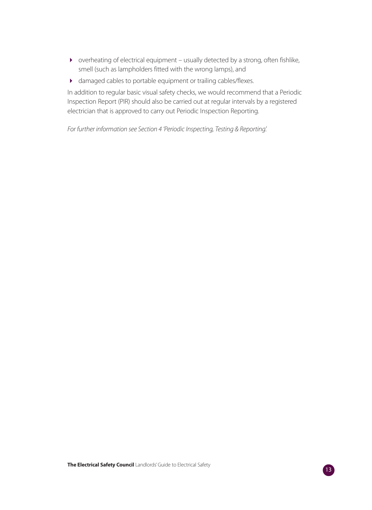- overheating of electrical equipment usually detected by a strong, often fishlike, smell (such as lampholders fitted with the wrong lamps), and
- damaged cables to portable equipment or trailing cables/flexes.

In addition to regular basic visual safety checks, we would recommend that a Periodic Inspection Report (PIR) should also be carried out at regular intervals by a registered electrician that is approved to carry out Periodic Inspection Reporting.

For further information see Section 4 'Periodic Inspecting, Testing & Reporting'.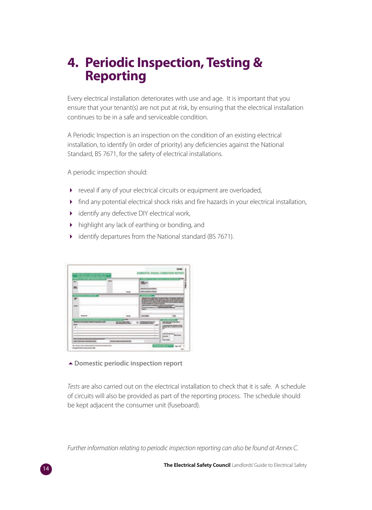### **4. Periodic Inspection, Testing & Reporting**

Every electrical installation deteriorates with use and age. It is important that you ensure that your tenant(s) are not put at risk, by ensuring that the electrical installation continues to be in a safe and serviceable condition.

A Periodic Inspection is an inspection on the condition of an existing electrical installation, to identify (in order of priority) any deficiencies against the National Standard, BS 7671, for the safety of electrical installations.

A periodic inspection should:

- reveal if any of your electrical circuits or equipment are overloaded,
- find any potential electrical shock risks and fire hazards in your electrical installation,
- identify any defective DIY electrical work,
- highlight any lack of earthing or bonding, and
- identify departures from the National standard (BS 7671).



**Domestic periodic inspection report**

Tests are also carried out on the electrical installation to check that it is safe. A schedule of circuits will also be provided as part of the reporting process. The schedule should be kept adjacent the consumer unit (fuseboard).

Further information relating to periodic inspection reporting can also be found at Annex C.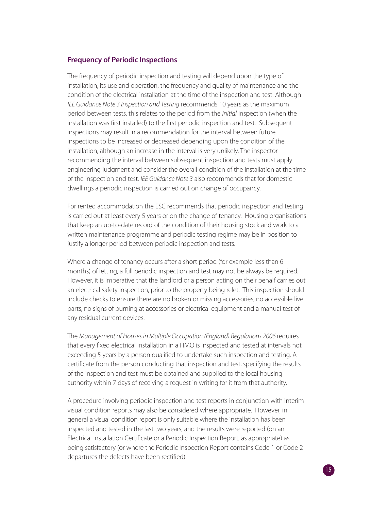#### **Frequency of Periodic Inspections**

The frequency of periodic inspection and testing will depend upon the type of installation, its use and operation, the frequency and quality of maintenance and the condition of the electrical installation at the time of the inspection and test. Although IEE Guidance Note 3 Inspection and Testing recommends 10 years as the maximum period between tests, this relates to the period from the initial inspection (when the installation was first installed) to the first periodic inspection and test. Subsequent inspections may result in a recommendation for the interval between future inspections to be increased or decreased depending upon the condition of the installation, although an increase in the interval is very unlikely. The inspector recommending the interval between subsequent inspection and tests must apply engineering judgment and consider the overall condition of the installation at the time of the inspection and test. IEE Guidance Note 3 also recommends that for domestic dwellings a periodic inspection is carried out on change of occupancy.

For rented accommodation the ESC recommends that periodic inspection and testing is carried out at least every 5 years or on the change of tenancy. Housing organisations that keep an up-to-date record of the condition of their housing stock and work to a written maintenance programme and periodic testing regime may be in position to justify a longer period between periodic inspection and tests.

Where a change of tenancy occurs after a short period (for example less than 6 months) of letting, a full periodic inspection and test may not be always be required. However, it is imperative that the landlord or a person acting on their behalf carries out an electrical safety inspection, prior to the property being relet. This inspection should include checks to ensure there are no broken or missing accessories, no accessible live parts, no signs of burning at accessories or electrical equipment and a manual test of any residual current devices.

The Management of Houses in Multiple Occupation (England) Regulations 2006 requires that every fixed electrical installation in a HMO is inspected and tested at intervals not exceeding 5 years by a person qualified to undertake such inspection and testing. A certificate from the person conducting that inspection and test, specifying the results of the inspection and test must be obtained and supplied to the local housing authority within 7 days of receiving a request in writing for it from that authority.

A procedure involving periodic inspection and test reports in conjunction with interim visual condition reports may also be considered where appropriate. However, in general a visual condition report is only suitable where the installation has been inspected and tested in the last two years, and the results were reported (on an Electrical Installation Certificate or a Periodic Inspection Report, as appropriate) as being satisfactory (or where the Periodic Inspection Report contains Code 1 or Code 2 departures the defects have been rectified).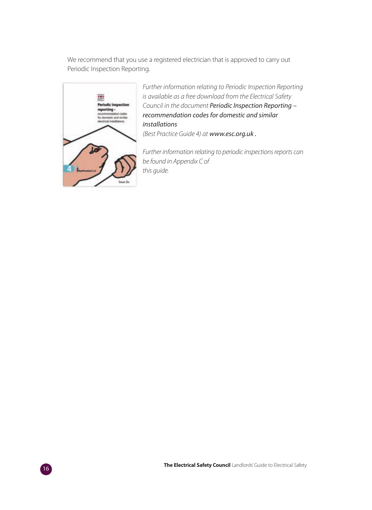We recommend that you use a registered electrician that is approved to carry out Periodic Inspection Reporting.



Further information relating to Periodic Inspection Reporting is available as a free download from the Electrical Safety Council in the document Periodic Inspection Reporting – recommendation codes for domestic and similar installations

(Best Practice Guide 4) at www.esc.org.uk .

Further information relating to periodic inspections reports can be found in Appendix C of this guide.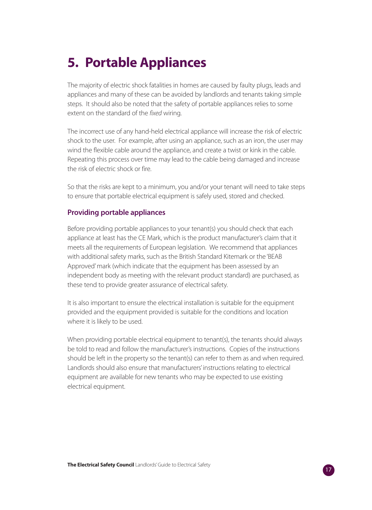# **5. Portable Appliances**

The majority of electric shock fatalities in homes are caused by faulty plugs, leads and appliances and many of these can be avoided by landlords and tenants taking simple steps. It should also be noted that the safety of portable appliances relies to some extent on the standard of the *fixed* wiring.

The incorrect use of any hand-held electrical appliance will increase the risk of electric shock to the user. For example, after using an appliance, such as an iron, the user may wind the flexible cable around the appliance, and create a twist or kink in the cable. Repeating this process over time may lead to the cable being damaged and increase the risk of electric shock or fire.

So that the risks are kept to a minimum, you and/or your tenant will need to take steps to ensure that portable electrical equipment is safely used, stored and checked.

#### **Providing portable appliances**

Before providing portable appliances to your tenant(s) you should check that each appliance at least has the CE Mark, which is the product manufacturer's claim that it meets all the requirements of European legislation. We recommend that appliances with additional safety marks, such as the British Standard Kitemark or the 'BEAB Approved' mark (which indicate that the equipment has been assessed by an independent body as meeting with the relevant product standard) are purchased, as these tend to provide greater assurance of electrical safety.

It is also important to ensure the electrical installation is suitable for the equipment provided and the equipment provided is suitable for the conditions and location where it is likely to be used.

When providing portable electrical equipment to tenant(s), the tenants should always be told to read and follow the manufacturer's instructions. Copies of the instructions should be left in the property so the tenant(s) can refer to them as and when required. Landlords should also ensure that manufacturers' instructions relating to electrical equipment are available for new tenants who may be expected to use existing electrical equipment.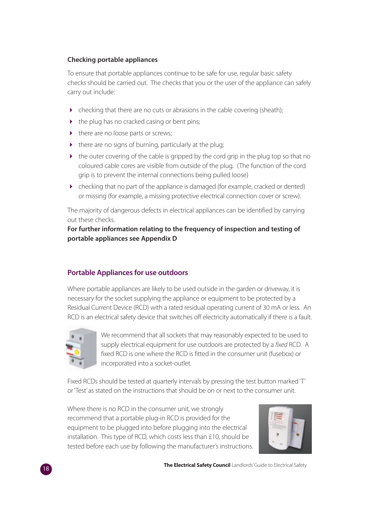#### **Checking portable appliances**

To ensure that portable appliances continue to be safe for use, regular basic safety checks should be carried out. The checks that you or the user of the appliance can safely carry out include:

- checking that there are no cuts or abrasions in the cable covering (sheath);
- the plug has no cracked casing or bent pins;
- there are no loose parts or screws;
- there are no signs of burning, particularly at the plug;
- the outer covering of the cable is gripped by the cord grip in the plug top so that no coloured cable cores are visible from outside of the plug. (The function of the cord grip is to prevent the internal connections being pulled loose)
- checking that no part of the appliance is damaged (for example, cracked or dented) or missing (for example, a missing protective electrical connection cover or screw).

The majority of dangerous defects in electrical appliances can be identified by carrying out these checks.

**For further information relating to the frequency of inspection and testing of portable appliances see Appendix D**

### **Portable Appliances for use outdoors**

Where portable appliances are likely to be used outside in the garden or driveway, it is necessary for the socket supplying the appliance or equipment to be protected by a Residual Current Device (RCD) with a rated residual operating current of 30 mA or less. An RCD is an electrical safety device that switches off electricity automatically if there is a fault.



We recommend that all sockets that may reasonably expected to be used to supply electrical equipment for use outdoors are protected by a fixed RCD. A fixed RCD is one where the RCD is fitted in the consumer unit (fusebox) or incorporated into a socket-outlet.

Fixed RCDs should be tested at quarterly intervals by pressing the test button marked 'T' or 'Test' as stated on the instructions that should be on or next to the consumer unit.

Where there is no RCD in the consumer unit, we strongly recommend that a portable plug-in RCD is provided for the equipment to be plugged into before plugging into the electrical installation. This type of RCD, which costs less than £10, should be tested before each use by following the manufacturer's instructions.

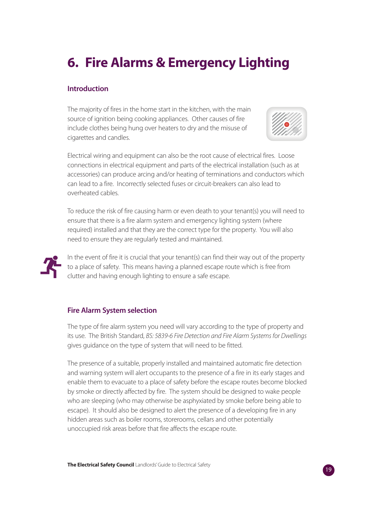# **6. Fire Alarms & Emergency Lighting**

#### **Introduction**

The majority of fires in the home start in the kitchen, with the main source of ignition being cooking appliances. Other causes of fire include clothes being hung over heaters to dry and the misuse of cigarettes and candles.



Electrical wiring and equipment can also be the root cause of electrical fires. Loose connections in electrical equipment and parts of the electrical installation (such as at accessories) can produce arcing and/or heating of terminations and conductors which can lead to a fire. Incorrectly selected fuses or circuit-breakers can also lead to overheated cables.

To reduce the risk of fire causing harm or even death to your tenant(s) you will need to ensure that there is a fire alarm system and emergency lighting system (where required) installed and that they are the correct type for the property. You will also need to ensure they are regularly tested and maintained.



In the event of fire it is crucial that your tenant(s) can find their way out of the property to a place of safety. This means having a planned escape route which is free from clutter and having enough lighting to ensure a safe escape.

### **Fire Alarm System selection**

The type of fire alarm system you need will vary according to the type of property and its use. The British Standard, BS: 5839-6 Fire Detection and Fire Alarm Systems for Dwellings gives guidance on the type of system that will need to be fitted.

The presence of a suitable, properly installed and maintained automatic fire detection and warning system will alert occupants to the presence of a fire in its early stages and enable them to evacuate to a place of safety before the escape routes become blocked by smoke or directly affected by fire. The system should be designed to wake people who are sleeping (who may otherwise be asphyxiated by smoke before being able to escape). It should also be designed to alert the presence of a developing fire in any hidden areas such as boiler rooms, storerooms, cellars and other potentially unoccupied risk areas before that fire affects the escape route.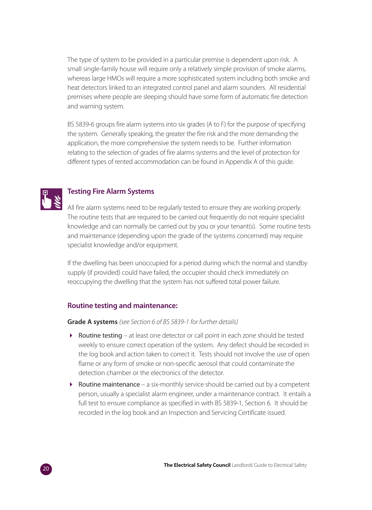The type of system to be provided in a particular premise is dependent upon risk. A small single-family house will require only a relatively simple provision of smoke alarms, whereas large HMOs will require a more sophisticated system including both smoke and heat detectors linked to an integrated control panel and alarm sounders. All residential premises where people are sleeping should have some form of automatic fire detection and warning system.

BS 5839-6 groups fire alarm systems into six grades (A to F) for the purpose of specifying the system. Generally speaking, the greater the fire risk and the more demanding the application, the more comprehensive the system needs to be. Further information relating to the selection of grades of fire alarms systems and the level of protection for different types of rented accommodation can be found in Appendix A of this guide.



#### **Testing Fire Alarm Systems**

All fire alarm systems need to be regularly tested to ensure they are working properly. The routine tests that are required to be carried out frequently do not require specialist knowledge and can normally be carried out by you or your tenant(s). Some routine tests and maintenance (depending upon the grade of the systems concerned) may require specialist knowledge and/or equipment.

If the dwelling has been unoccupied for a period during which the normal and standby supply (if provided) could have failed, the occupier should check immediately on reoccupying the dwelling that the system has not suffered total power failure.

#### **Routine testing and maintenance:**

**Grade A systems** (see Section 6 of BS 5839-1 for further details)

- Routine testing at least one detector or call point in each zone should be tested weekly to ensure correct operation of the system. Any defect should be recorded in the log book and action taken to correct it. Tests should not involve the use of open flame or any form of smoke or non-specific aerosol that could contaminate the detection chamber or the electronics of the detector.
- Routine maintenance a six-monthly service should be carried out by a competent person, usually a specialist alarm engineer, under a maintenance contract. It entails a full test to ensure compliance as specified in with BS 5839-1, Section 6. It should be recorded in the log book and an Inspection and Servicing Certificate issued.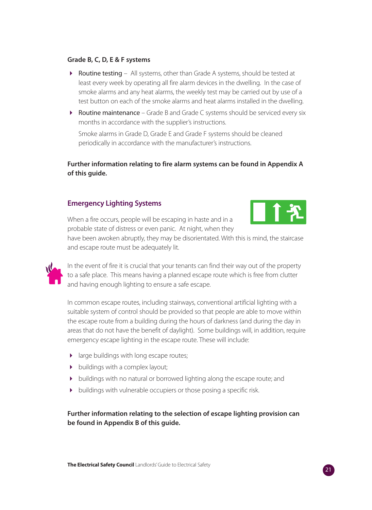#### **Grade B, C, D, E & F systems**

- ▶ Routine testing All systems, other than Grade A systems, should be tested at least every week by operating all fire alarm devices in the dwelling. In the case of smoke alarms and any heat alarms, the weekly test may be carried out by use of a test button on each of the smoke alarms and heat alarms installed in the dwelling.
- Routine maintenance Grade B and Grade C systems should be serviced every six months in accordance with the supplier's instructions.

Smoke alarms in Grade D, Grade E and Grade F systems should be cleaned periodically in accordance with the manufacturer's instructions.

#### **Further information relating to fire alarm systems can be found in Appendix A of this guide.**

#### **Emergency Lighting Systems**

When a fire occurs, people will be escaping in haste and in a probable state of distress or even panic. At night, when they



have been awoken abruptly, they may be disorientated. With this is mind, the staircase and escape route must be adequately lit.

In the event of fire it is crucial that your tenants can find their way out of the property to a safe place. This means having a planned escape route which is free from clutter and having enough lighting to ensure a safe escape.

In common escape routes, including stairways, conventional artificial lighting with a suitable system of control should be provided so that people are able to move within the escape route from a building during the hours of darkness (and during the day in areas that do not have the benefit of daylight). Some buildings will, in addition, require emergency escape lighting in the escape route. These will include:

- large buildings with long escape routes;
- buildings with a complex layout;
- $\rightarrow$  buildings with no natural or borrowed lighting along the escape route; and
- $\blacktriangleright$  buildings with vulnerable occupiers or those posing a specific risk.

**Further information relating to the selection of escape lighting provision can be found in Appendix B of this guide.**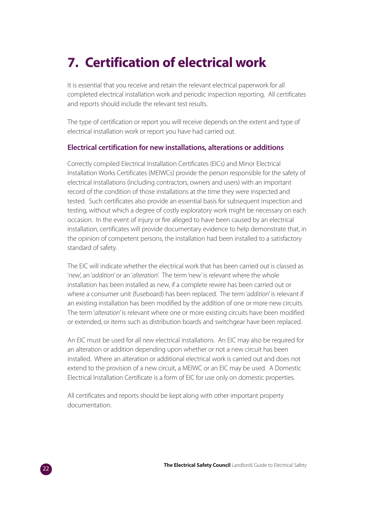# **7. Certification of electrical work**

It is essential that you receive and retain the relevant electrical paperwork for all completed electrical installation work and periodic inspection reporting. All certificates and reports should include the relevant test results.

The type of certification or report you will receive depends on the extent and type of electrical installation work or report you have had carried out.

#### **Electrical certification for new installations, alterations or additions**

Correctly compiled Electrical Installation Certificates (EICs) and Minor Electrical Installation Works Certificates (MEIWCs) provide the person responsible for the safety of electrical installations (including contractors, owners and users) with an important record of the condition of those installations at the time they were inspected and tested. Such certificates also provide an essential basis for subsequent inspection and testing, without which a degree of costly exploratory work might be necessary on each occasion. In the event of injury or fire alleged to have been caused by an electrical installation, certificates will provide documentary evidence to help demonstrate that, in the opinion of competent persons, the installation had been installed to a satisfactory standard of safety.

The EIC will indicate whether the electrical work that has been carried out is classed as 'new', an 'addition' or an 'alteration'. The term 'new' is relevant where the whole installation has been installed as new, if a complete rewire has been carried out or where a consumer unit (fuseboard) has been replaced. The term 'addition' is relevant if an existing installation has been modified by the addition of one or more new circuits. The term 'alteration' is relevant where one or more existing circuits have been modified or extended, or items such as distribution boards and switchgear have been replaced.

An EIC must be used for all new electrical installations. An EIC may also be required for an alteration or addition depending upon whether or not a new circuit has been installed. Where an alteration or additional electrical work is carried out and does not extend to the provision of a new circuit, a MEIWC or an EIC may be used. A Domestic Electrical Installation Certificate is a form of EIC for use only on domestic properties.

All certificates and reports should be kept along with other important property documentation.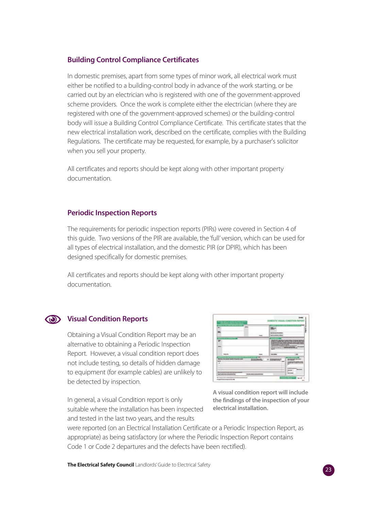#### **Building Control Compliance Certificates**

In domestic premises, apart from some types of minor work, all electrical work must either be notified to a building-control body in advance of the work starting, or be carried out by an electrician who is registered with one of the government-approved scheme providers. Once the work is complete either the electrician (where they are registered with one of the government-approved schemes) or the building-control body will issue a Building Control Compliance Certificate. This certificate states that the new electrical installation work, described on the certificate, complies with the Building Regulations. The certificate may be requested, for example, by a purchaser's solicitor when you sell your property.

All certificates and reports should be kept along with other important property documentation.

#### **Periodic Inspection Reports**

The requirements for periodic inspection reports (PIRs) were covered in Section 4 of this guide. Two versions of the PIR are available, the 'full' version, which can be used for all types of electrical installation, and the domestic PIR (or DPIR), which has been designed specifically for domestic premises.

All certificates and reports should be kept along with other important property documentation.

# **Visual Condition Reports**

Obtaining a Visual Condition Report may be an alternative to obtaining a Periodic Inspection Report. However, a visual condition report does not include testing, so details of hidden damage to equipment (for example cables) are unlikely to be detected by inspection.

In general, a visual Condition report is only suitable where the installation has been inspected and tested in the last two years, and the results



**A visual condition report will include the findings of the inspection of your electrical installation.**

were reported (on an Electrical Installation Certificate or a Periodic Inspection Report, as appropriate) as being satisfactory (or where the Periodic Inspection Report contains Code 1 or Code 2 departures and the defects have been rectified).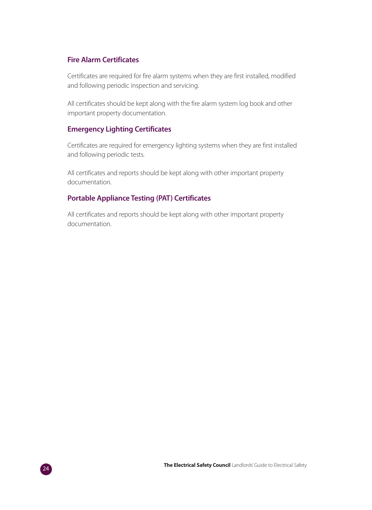#### **Fire Alarm Certificates**

Certificates are required for fire alarm systems when they are first installed, modified and following periodic inspection and servicing.

All certificates should be kept along with the fire alarm system log book and other important property documentation.

#### **Emergency Lighting Certificates**

Certificates are required for emergency lighting systems when they are first installed and following periodic tests.

All certificates and reports should be kept along with other important property documentation.

#### **Portable Appliance Testing (PAT) Certificates**

All certificates and reports should be kept along with other important property documentation.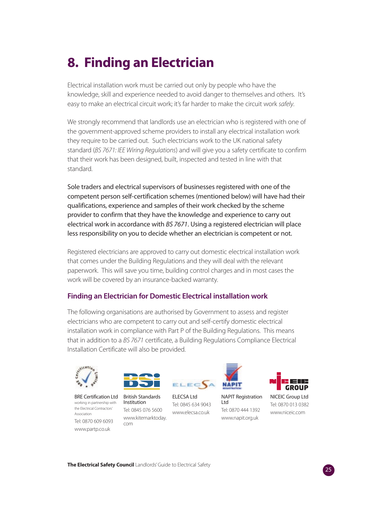# **8. Finding an Electrician**

Electrical installation work must be carried out only by people who have the knowledge, skill and experience needed to avoid danger to themselves and others. It's easy to make an electrical circuit work; it's far harder to make the circuit work safely.

We strongly recommend that landlords use an electrician who is registered with one of the government-approved scheme providers to install any electrical installation work they require to be carried out. Such electricians work to the UK national safety standard (BS 7671: IEE Wiring Regulations) and will give you a safety certificate to confirm that their work has been designed, built, inspected and tested in line with that standard.

Sole traders and electrical supervisors of businesses registered with one of the competent person self-certification schemes (mentioned below) will have had their qualifications, experience and samples of their work checked by the scheme provider to confirm that they have the knowledge and experience to carry out electrical work in accordance with BS 7671. Using a registered electrician will place less responsibility on you to decide whether an electrician is competent or not.

Registered electricians are approved to carry out domestic electrical installation work that comes under the Building Regulations and they will deal with the relevant paperwork. This will save you time, building control charges and in most cases the work will be covered by an insurance-backed warranty.

### **Finding an Electrician for Domestic Electrical installation work**

The following organisations are authorised by Government to assess and register electricians who are competent to carry out and self-certify domestic electrical installation work in compliance with Part P of the Building Regulations. This means that in addition to a BS 7671 certificate, a Building Regulations Compliance Electrical Installation Certificate will also be provided.



BRE Certification Ltd British Standards working in partnership with **Institution** the Electrical Contractors' Association Tel: 0870 609 6093 www.partp.co.uk



Tel: 0845 076 5600 www.kitemarktoday. com



ELECSA Ltd Tel: 0845 634 9043 www.elecsa.co.uk



Tel: 0870 444 1392 www.napit.org.uk

Ltd



NICEIC Group Ltd Tel: 0870 013 0382 www.niceic.com



**The Electrical Safety Council** Landlords' Guide to Electrical Safety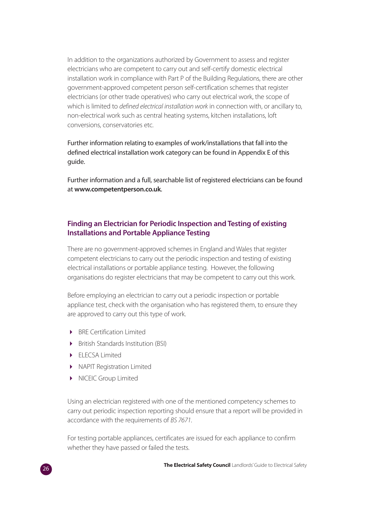In addition to the organizations authorized by Government to assess and register electricians who are competent to carry out and self-certify domestic electrical installation work in compliance with Part P of the Building Regulations, there are other government-approved competent person self-certification schemes that register electricians (or other trade operatives) who carry out electrical work, the scope of which is limited to defined electrical installation work in connection with, or ancillary to, non-electrical work such as central heating systems, kitchen installations, loft conversions, conservatories etc.

Further information relating to examples of work/installations that fall into the defined electrical installation work category can be found in Appendix E of this guide.

Further information and a full, searchable list of registered electricians can be found at **www.competentperson.co.uk**.

#### **Finding an Electrician for Periodic Inspection and Testing of existing Installations and Portable Appliance Testing**

There are no government-approved schemes in England and Wales that register competent electricians to carry out the periodic inspection and testing of existing electrical installations or portable appliance testing. However, the following organisations do register electricians that may be competent to carry out this work.

Before employing an electrician to carry out a periodic inspection or portable appliance test, check with the organisation who has registered them, to ensure they are approved to carry out this type of work.

- BRE Certification Limited
- **•** British Standards Institution (BSI)
- ELECSA Limited
- NAPIT Registration Limited
- NICEIC Group Limited

Using an electrician registered with one of the mentioned competency schemes to carry out periodic inspection reporting should ensure that a report will be provided in accordance with the requirements of BS 7671.

For testing portable appliances, certificates are issued for each appliance to confirm whether they have passed or failed the tests.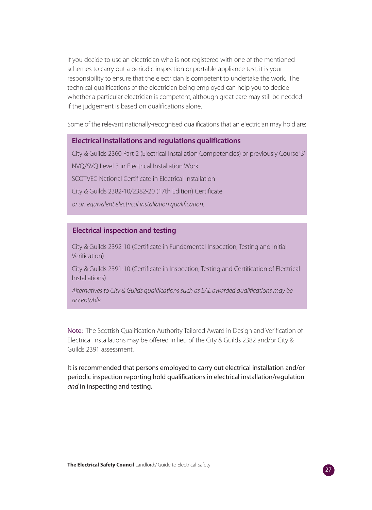If you decide to use an electrician who is not registered with one of the mentioned schemes to carry out a periodic inspection or portable appliance test, it is your responsibility to ensure that the electrician is competent to undertake the work. The technical qualifications of the electrician being employed can help you to decide whether a particular electrician is competent, although great care may still be needed if the judgement is based on qualifications alone.

Some of the relevant nationally-recognised qualifications that an electrician may hold are:

#### **Electrical installations and regulations qualifications**

City & Guilds 2360 Part 2 (Electrical Installation Competencies) or previously Course 'B' NVQ/SVQ Level 3 in Electrical Installation Work SCOTVEC National Certificate in Electrical Installation City & Guilds 2382-10/2382-20 (17th Edition) Certificate or an equivalent electrical installation qualification.

#### **Electrical inspection and testing**

City & Guilds 2392-10 (Certificate in Fundamental Inspection, Testing and Initial Verification)

City & Guilds 2391-10 (Certificate in Inspection, Testing and Certification of Electrical Installations)

Alternatives to City & Guilds qualifications such as EAL awarded qualifications may be acceptable.

Note: The Scottish Qualification Authority Tailored Award in Design and Verification of Electrical Installations may be offered in lieu of the City & Guilds 2382 and/or City & Guilds 2391 assessment.

It is recommended that persons employed to carry out electrical installation and/or periodic inspection reporting hold qualifications in electrical installation/regulation and in inspecting and testing.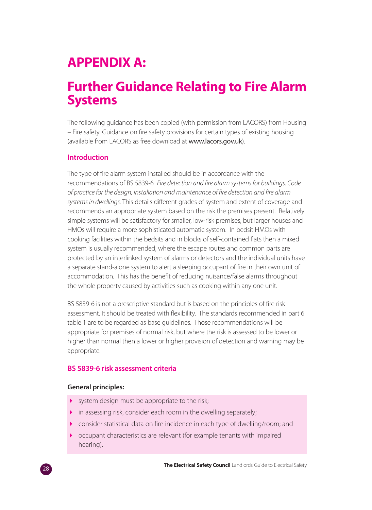## **APPENDIX A:**

### **Further Guidance Relating to Fire Alarm Systems**

The following guidance has been copied (with permission from LACORS) from Housing – Fire safety. Guidance on fire safety provisions for certain types of existing housing (available from LACORS as free download at www.lacors.gov.uk).

#### **Introduction**

The type of fire alarm system installed should be in accordance with the recommendations of BS 5839-6 Fire detection and fire alarm systems for buildings. Code of practice for the design, installation and maintenance of fire detection and fire alarm systems in dwellings. This details different grades of system and extent of coverage and recommends an appropriate system based on the risk the premises present. Relatively simple systems will be satisfactory for smaller, low-risk premises, but larger houses and HMOs will require a more sophisticated automatic system. In bedsit HMOs with cooking facilities within the bedsits and in blocks of self-contained flats then a mixed system is usually recommended, where the escape routes and common parts are protected by an interlinked system of alarms or detectors and the individual units have a separate stand-alone system to alert a sleeping occupant of fire in their own unit of accommodation. This has the benefit of reducing nuisance/false alarms throughout the whole property caused by activities such as cooking within any one unit.

BS 5839-6 is not a prescriptive standard but is based on the principles of fire risk assessment. It should be treated with flexibility. The standards recommended in part 6 table 1 are to be regarded as base guidelines. Those recommendations will be appropriate for premises of normal risk, but where the risk is assessed to be lower or higher than normal then a lower or higher provision of detection and warning may be appropriate.

#### **BS 5839-6 risk assessment criteria**

#### **General principles:**

- system design must be appropriate to the risk;
- in assessing risk, consider each room in the dwelling separately;
- consider statistical data on fire incidence in each type of dwelling/room; and
- occupant characteristics are relevant (for example tenants with impaired hearing).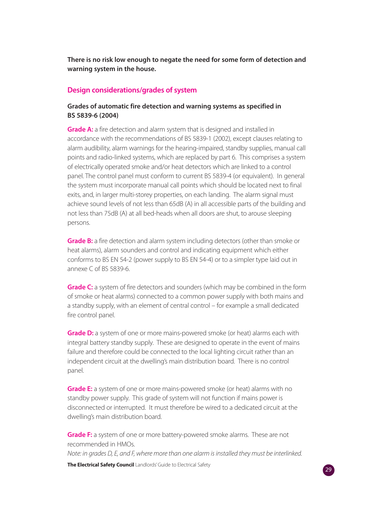**There is no risk low enough to negate the need for some form of detection and warning system in the house.**

#### **Design considerations/grades of system**

#### **Grades of automatic fire detection and warning systems as specified in BS 5839-6 (2004)**

**Grade A:** a fire detection and alarm system that is designed and installed in accordance with the recommendations of BS 5839-1 (2002), except clauses relating to alarm audibility, alarm warnings for the hearing-impaired, standby supplies, manual call points and radio-linked systems, which are replaced by part 6. This comprises a system of electrically operated smoke and/or heat detectors which are linked to a control panel. The control panel must conform to current BS 5839-4 (or equivalent). In general the system must incorporate manual call points which should be located next to final exits, and, in larger multi-storey properties, on each landing. The alarm signal must achieve sound levels of not less than 65dB (A) in all accessible parts of the building and not less than 75dB (A) at all bed-heads when all doors are shut, to arouse sleeping persons.

**Grade B:** a fire detection and alarm system including detectors (other than smoke or heat alarms), alarm sounders and control and indicating equipment which either conforms to BS EN 54-2 (power supply to BS EN 54-4) or to a simpler type laid out in annexe C of BS 5839-6.

**Grade C:** a system of fire detectors and sounders (which may be combined in the form of smoke or heat alarms) connected to a common power supply with both mains and a standby supply, with an element of central control – for example a small dedicated fire control panel.

**Grade D:** a system of one or more mains-powered smoke (or heat) alarms each with integral battery standby supply. These are designed to operate in the event of mains failure and therefore could be connected to the local lighting circuit rather than an independent circuit at the dwelling's main distribution board. There is no control panel.

**Grade E:** a system of one or more mains-powered smoke (or heat) alarms with no standby power supply. This grade of system will not function if mains power is disconnected or interrupted. It must therefore be wired to a dedicated circuit at the dwelling's main distribution board.

**Grade F:** a system of one or more battery-powered smoke alarms. These are not recommended in HMOs.

Note: in grades D, E, and F, where more than one alarm is installed they must be interlinked.

**The Electrical Safety Council** Landlords' Guide to Electrical Safety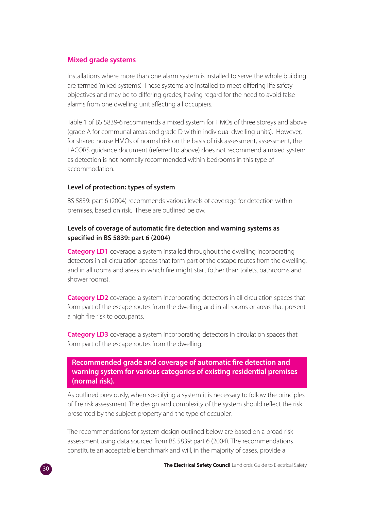#### **Mixed grade systems**

Installations where more than one alarm system is installed to serve the whole building are termed 'mixed systems'. These systems are installed to meet differing life safety objectives and may be to differing grades, having regard for the need to avoid false alarms from one dwelling unit affecting all occupiers.

Table 1 of BS 5839-6 recommends a mixed system for HMOs of three storeys and above (grade A for communal areas and grade D within individual dwelling units). However, for shared house HMOs of normal risk on the basis of risk assessment, assessment, the LACORS guidance document (referred to above) does not recommend a mixed system as detection is not normally recommended within bedrooms in this type of accommodation.

#### **Level of protection: types of system**

BS 5839: part 6 (2004) recommends various levels of coverage for detection within premises, based on risk. These are outlined below.

#### **Levels of coverage of automatic fire detection and warning systems as specified in BS 5839: part 6 (2004)**

**Category LD1** coverage: a system installed throughout the dwelling incorporating detectors in all circulation spaces that form part of the escape routes from the dwelling, and in all rooms and areas in which fire might start (other than toilets, bathrooms and shower rooms).

**Category LD2** coverage: a system incorporating detectors in all circulation spaces that form part of the escape routes from the dwelling, and in all rooms or areas that present a high fire risk to occupants.

**Category LD3** coverage: a system incorporating detectors in circulation spaces that form part of the escape routes from the dwelling.

#### **Recommended grade and coverage of automatic fire detection and warning system for various categories of existing residential premises (normal risk).**

As outlined previously, when specifying a system it is necessary to follow the principles of fire risk assessment. The design and complexity of the system should reflect the risk presented by the subject property and the type of occupier.

The recommendations for system design outlined below are based on a broad risk assessment using data sourced from BS 5839: part 6 (2004). The recommendations constitute an acceptable benchmark and will, in the majority of cases, provide a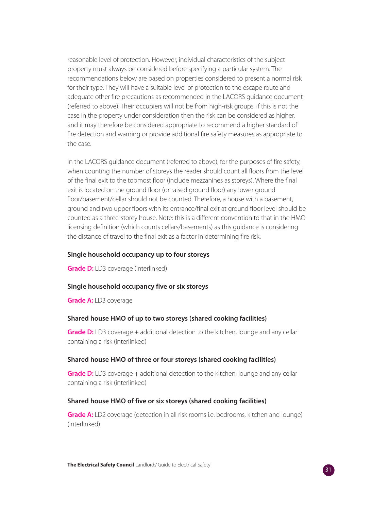reasonable level of protection. However, individual characteristics of the subject property must always be considered before specifying a particular system. The recommendations below are based on properties considered to present a normal risk for their type. They will have a suitable level of protection to the escape route and adequate other fire precautions as recommended in the LACORS guidance document (referred to above). Their occupiers will not be from high-risk groups. If this is not the case in the property under consideration then the risk can be considered as higher, and it may therefore be considered appropriate to recommend a higher standard of fire detection and warning or provide additional fire safety measures as appropriate to the case.

In the LACORS guidance document (referred to above), for the purposes of fire safety, when counting the number of storeys the reader should count all floors from the level of the final exit to the topmost floor (include mezzanines as storeys). Where the final exit is located on the ground floor (or raised ground floor) any lower ground floor/basement/cellar should not be counted. Therefore, a house with a basement, ground and two upper floors with its entrance/final exit at ground floor level should be counted as a three-storey house. Note: this is a different convention to that in the HMO licensing definition (which counts cellars/basements) as this guidance is considering the distance of travel to the final exit as a factor in determining fire risk.

#### **Single household occupancy up to four storeys**

**Grade D:** LD3 coverage (interlinked)

#### **Single household occupancy five or six storeys**

**Grade A:** LD3 coverage

#### **Shared house HMO of up to two storeys (shared cooking facilities)**

**Grade D:** LD3 coverage + additional detection to the kitchen, lounge and any cellar containing a risk (interlinked)

#### **Shared house HMO of three or four storeys (shared cooking facilities)**

**Grade D:** LD3 coverage + additional detection to the kitchen, lounge and any cellar containing a risk (interlinked)

#### **Shared house HMO of five or six storeys (shared cooking facilities)**

**Grade A:** LD2 coverage (detection in all risk rooms i.e. bedrooms, kitchen and lounge) (interlinked)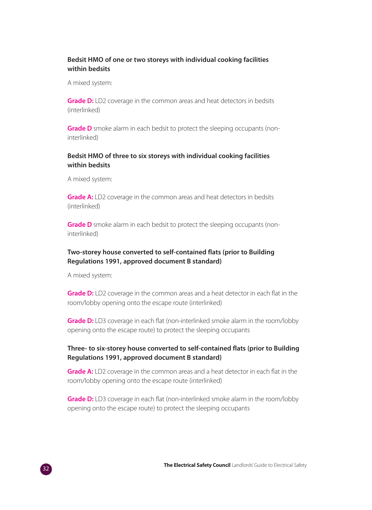#### **Bedsit HMO of one or two storeys with individual cooking facilities within bedsits**

A mixed system:

**Grade D:** LD2 coverage in the common areas and heat detectors in bedsits (interlinked)

**Grade D** smoke alarm in each bedsit to protect the sleeping occupants (noninterlinked)

#### **Bedsit HMO of three to six storeys with individual cooking facilities within bedsits**

A mixed system:

**Grade A:** LD2 coverage in the common areas and heat detectors in bedsits (interlinked)

**Grade D** smoke alarm in each bedsit to protect the sleeping occupants (noninterlinked)

#### **Two-storey house converted to self-contained flats (prior to Building Regulations 1991, approved document B standard)**

A mixed system:

**Grade D:** LD2 coverage in the common areas and a heat detector in each flat in the room/lobby opening onto the escape route (interlinked)

**Grade D:** LD3 coverage in each flat (non-interlinked smoke alarm in the room/lobby opening onto the escape route) to protect the sleeping occupants

#### **Three- to six-storey house converted to self-contained flats (prior to Building Regulations 1991, approved document B standard)**

**Grade A:** LD2 coverage in the common areas and a heat detector in each flat in the room/lobby opening onto the escape route (interlinked)

**Grade D:** LD3 coverage in each flat (non-interlinked smoke alarm in the room/lobby opening onto the escape route) to protect the sleeping occupants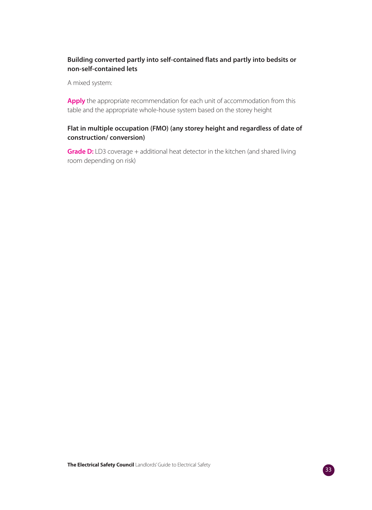#### **Building converted partly into self-contained flats and partly into bedsits or non-self-contained lets**

A mixed system:

Apply the appropriate recommendation for each unit of accommodation from this table and the appropriate whole-house system based on the storey height

#### **Flat in multiple occupation (FMO) (any storey height and regardless of date of construction/ conversion)**

**Grade D:** LD3 coverage + additional heat detector in the kitchen (and shared living room depending on risk)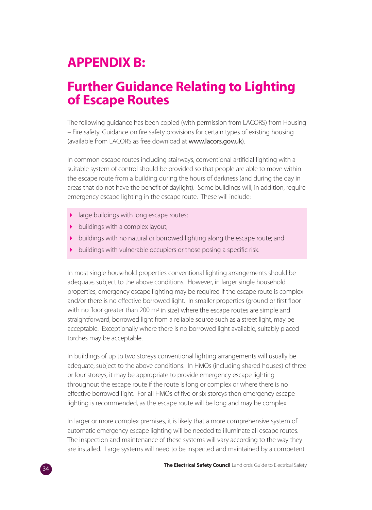## **APPENDIX B:**

### **Further Guidance Relating to Lighting of Escape Routes**

The following guidance has been copied (with permission from LACORS) from Housing – Fire safety. Guidance on fire safety provisions for certain types of existing housing (available from LACORS as free download at www.lacors.gov.uk).

In common escape routes including stairways, conventional artificial lighting with a suitable system of control should be provided so that people are able to move within the escape route from a building during the hours of darkness (and during the day in areas that do not have the benefit of daylight). Some buildings will, in addition, require emergency escape lighting in the escape route. These will include:

- $\mathbf{r}$ large buildings with long escape routes;
- buildings with a complex layout;
- buildings with no natural or borrowed lighting along the escape route; and
- buildings with vulnerable occupiers or those posing a specific risk.

In most single household properties conventional lighting arrangements should be adequate, subject to the above conditions. However, in larger single household properties, emergency escape lighting may be required if the escape route is complex and/or there is no effective borrowed light. In smaller properties (ground or first floor with no floor greater than 200 m<sup>2</sup> in size) where the escape routes are simple and straightforward, borrowed light from a reliable source such as a street light, may be acceptable. Exceptionally where there is no borrowed light available, suitably placed torches may be acceptable.

In buildings of up to two storeys conventional lighting arrangements will usually be adequate, subject to the above conditions. In HMOs (including shared houses) of three or four storeys, it may be appropriate to provide emergency escape lighting throughout the escape route if the route is long or complex or where there is no effective borrowed light. For all HMOs of five or six storeys then emergency escape lighting is recommended, as the escape route will be long and may be complex.

In larger or more complex premises, it is likely that a more comprehensive system of automatic emergency escape lighting will be needed to illuminate all escape routes. The inspection and maintenance of these systems will vary according to the way they are installed. Large systems will need to be inspected and maintained by a competent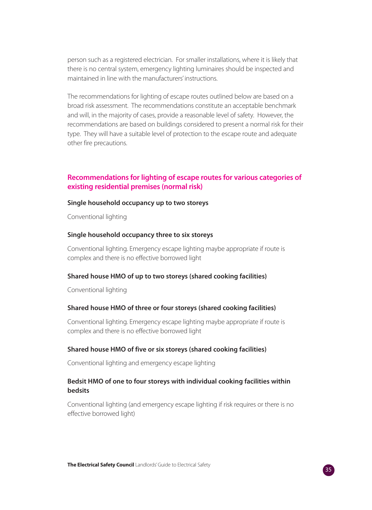person such as a registered electrician. For smaller installations, where it is likely that there is no central system, emergency lighting luminaires should be inspected and maintained in line with the manufacturers' instructions.

The recommendations for lighting of escape routes outlined below are based on a broad risk assessment. The recommendations constitute an acceptable benchmark and will, in the majority of cases, provide a reasonable level of safety. However, the recommendations are based on buildings considered to present a normal risk for their type. They will have a suitable level of protection to the escape route and adequate other fire precautions.

#### **Recommendations for lighting of escape routes for various categories of existing residential premises (normal risk)**

#### **Single household occupancy up to two storeys**

Conventional lighting

#### **Single household occupancy three to six storeys**

Conventional lighting. Emergency escape lighting maybe appropriate if route is complex and there is no effective borrowed light

#### **Shared house HMO of up to two storeys (shared cooking facilities)**

Conventional lighting

#### **Shared house HMO of three or four storeys (shared cooking facilities)**

Conventional lighting. Emergency escape lighting maybe appropriate if route is complex and there is no effective borrowed light

#### **Shared house HMO of five or six storeys (shared cooking facilities)**

Conventional lighting and emergency escape lighting

#### **Bedsit HMO of one to four storeys with individual cooking facilities within bedsits**

Conventional lighting (and emergency escape lighting if risk requires or there is no effective borrowed light)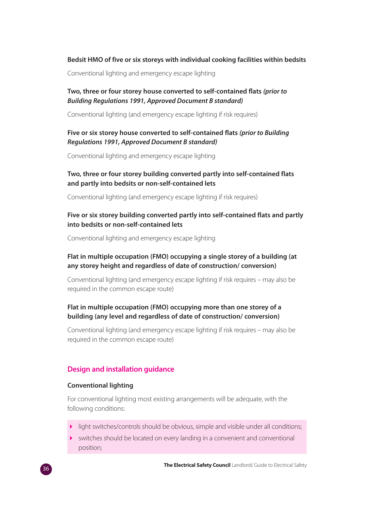#### **Bedsit HMO of five or six storeys with individual cooking facilities within bedsits**

Conventional lighting and emergency escape lighting

#### **Two, three or four storey house converted to self-contained flats (prior to Building Regulations 1991, Approved Document B standard)**

Conventional lighting (and emergency escape lighting if risk requires)

#### **Five or six storey house converted to self-contained flats (prior to Building Regulations 1991, Approved Document B standard)**

Conventional lighting and emergency escape lighting

#### **Two, three or four storey building converted partly into self-contained flats and partly into bedsits or non-self-contained lets**

Conventional lighting (and emergency escape lighting if risk requires)

#### **Five or six storey building converted partly into self-contained flats and partly into bedsits or non-self-contained lets**

Conventional lighting and emergency escape lighting

#### **Flat in multiple occupation (FMO) occupying a single storey of a building (at any storey height and regardless of date of construction/ conversion)**

Conventional lighting (and emergency escape lighting if risk requires – may also be required in the common escape route)

#### **Flat in multiple occupation (FMO) occupying more than one storey of a building (any level and regardless of date of construction/ conversion)**

Conventional lighting (and emergency escape lighting if risk requires – may also be required in the common escape route)

#### **Design and installation guidance**

#### **Conventional lighting**

For conventional lighting most existing arrangements will be adequate, with the following conditions:

- $\mathbf{r}$ light switches/controls should be obvious, simple and visible under all conditions;
- switches should be located on every landing in a convenient and conventional position;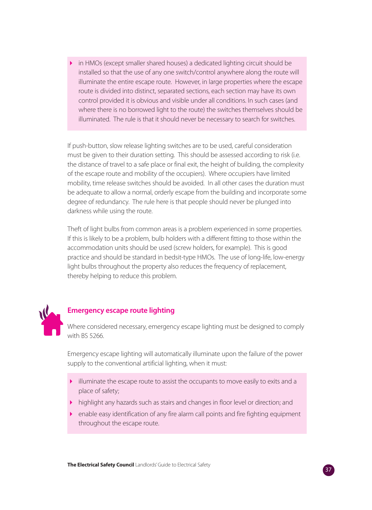- in HMOs (except smaller shared houses) a dedicated lighting circuit should be installed so that the use of any one switch/control anywhere along the route will illuminate the entire escape route. However, in large properties where the escape route is divided into distinct, separated sections, each section may have its own control provided it is obvious and visible under all conditions. In such cases (and where there is no borrowed light to the route) the switches themselves should be illuminated. The rule is that it should never be necessary to search for switches.

If push-button, slow release lighting switches are to be used, careful consideration must be given to their duration setting. This should be assessed according to risk (i.e. the distance of travel to a safe place or final exit, the height of building, the complexity of the escape route and mobility of the occupiers). Where occupiers have limited mobility, time release switches should be avoided. In all other cases the duration must be adequate to allow a normal, orderly escape from the building and incorporate some degree of redundancy. The rule here is that people should never be plunged into darkness while using the route.

Theft of light bulbs from common areas is a problem experienced in some properties. If this is likely to be a problem, bulb holders with a different fitting to those within the accommodation units should be used (screw holders, for example). This is good practice and should be standard in bedsit-type HMOs. The use of long-life, low-energy light bulbs throughout the property also reduces the frequency of replacement, thereby helping to reduce this problem.



#### **Emergency escape route lighting**

Where considered necessary, emergency escape lighting must be designed to comply with BS 5266.

Emergency escape lighting will automatically illuminate upon the failure of the power supply to the conventional artificial lighting, when it must:

- illuminate the escape route to assist the occupants to move easily to exits and a place of safety;
- highlight any hazards such as stairs and changes in floor level or direction; and
- enable easy identification of any fire alarm call points and fire fighting equipment throughout the escape route.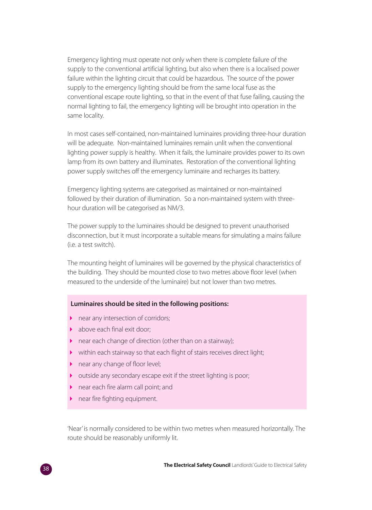Emergency lighting must operate not only when there is complete failure of the supply to the conventional artificial lighting, but also when there is a localised power failure within the lighting circuit that could be hazardous. The source of the power supply to the emergency lighting should be from the same local fuse as the conventional escape route lighting, so that in the event of that fuse failing, causing the normal lighting to fail, the emergency lighting will be brought into operation in the same locality.

In most cases self-contained, non-maintained luminaires providing three-hour duration will be adequate. Non-maintained luminaires remain unlit when the conventional lighting power supply is healthy. When it fails, the luminaire provides power to its own lamp from its own battery and illuminates. Restoration of the conventional lighting power supply switches off the emergency luminaire and recharges its battery.

Emergency lighting systems are categorised as maintained or non-maintained followed by their duration of illumination. So a non-maintained system with threehour duration will be categorised as NM/3.

The power supply to the luminaires should be designed to prevent unauthorised disconnection, but it must incorporate a suitable means for simulating a mains failure (i.e. a test switch).

The mounting height of luminaires will be governed by the physical characteristics of the building. They should be mounted close to two metres above floor level (when measured to the underside of the luminaire) but not lower than two metres.

#### **Luminaires should be sited in the following positions:**

- near any intersection of corridors;
- **b** above each final exit door;
- near each change of direction (other than on a stairway);
- within each stairway so that each flight of stairs receives direct light;
- near any change of floor level;
- outside any secondary escape exit if the street lighting is poor;
- near each fire alarm call point; and
- near fire fighting equipment.

'Near' is normally considered to be within two metres when measured horizontally. The route should be reasonably uniformly lit.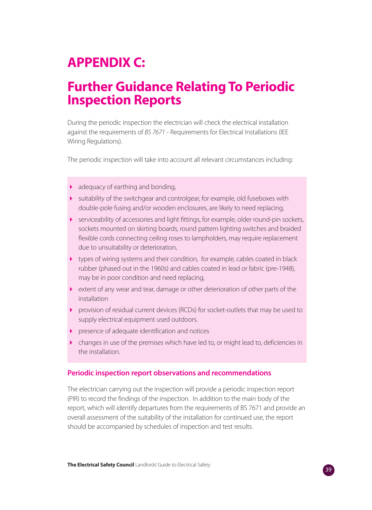## **APPENDIX C:**

### **Further Guidance Relating To Periodic Inspection Reports**

During the periodic inspection the electrician will check the electrical installation against the requirements of BS 7671 - Requirements for Electrical Installations (IEE Wiring Regulations).

The periodic inspection will take into account all relevant circumstances including:

- **adequacy of earthing and bonding,**
- suitability of the switchgear and controlgear, for example, old fuseboxes with double-pole fusing and/or wooden enclosures, are likely to need replacing,
- serviceability of accessories and light fittings, for example, older round-pin sockets, sockets mounted on skirting boards, round pattern lighting switches and braided flexible cords connecting ceiling roses to lampholders, may require replacement due to unsuitability or deterioration,
- types of wiring systems and their condition, for example, cables coated in black rubber (phased out in the 1960s) and cables coated in lead or fabric (pre-1948), may be in poor condition and need replacing,
- extent of any wear and tear, damage or other deterioration of other parts of the installation
- provision of residual current devices (RCDs) for socket-outlets that may be used to supply electrical equipment used outdoors.
- presence of adequate identification and notices
- changes in use of the premises which have led to, or might lead to, deficiencies in the installation.

#### **Periodic inspection report observations and recommendations**

The electrician carrying out the inspection will provide a periodic inspection report (PIR) to record the findings of the inspection. In addition to the main body of the report, which will identify departures from the requirements of BS 7671 and provide an overall assessment of the suitability of the installation for continued use, the report should be accompanied by schedules of inspection and test results.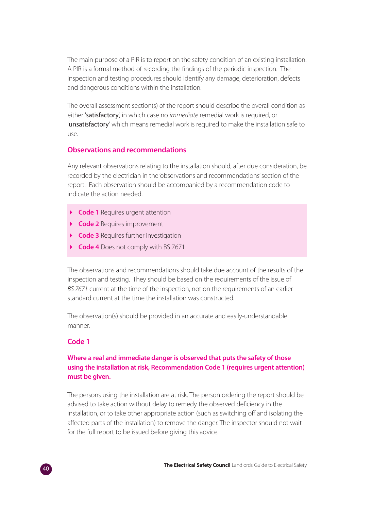The main purpose of a PIR is to report on the safety condition of an existing installation. A PIR is a formal method of recording the findings of the periodic inspection. The inspection and testing procedures should identify any damage, deterioration, defects and dangerous conditions within the installation.

The overall assessment section(s) of the report should describe the overall condition as either 'satisfactory', in which case no *immediate* remedial work is required, or 'unsatisfactory' which means remedial work is required to make the installation safe to use.

#### **Observations and recommendations**

Any relevant observations relating to the installation should, after due consideration, be recorded by the electrician in the 'observations and recommendations' section of the report. Each observation should be accompanied by a recommendation code to indicate the action needed.

- **Code 1** Requires urgent attention
- **Code 2** Requires improvement
- **Code 3** Requires further investigation
- **Code 4** Does not comply with BS 7671

The observations and recommendations should take due account of the results of the inspection and testing. They should be based on the requirements of the issue of BS 7671 current at the time of the inspection, not on the requirements of an earlier standard current at the time the installation was constructed.

The observation(s) should be provided in an accurate and easily-understandable manner.

#### **Code 1**

#### **Where a real and immediate danger is observed that puts the safety of those using the installation at risk, Recommendation Code 1 (requires urgent attention) must be given.**

The persons using the installation are at risk. The person ordering the report should be advised to take action without delay to remedy the observed deficiency in the installation, or to take other appropriate action (such as switching off and isolating the affected parts of the installation) to remove the danger. The inspector should not wait for the full report to be issued before giving this advice.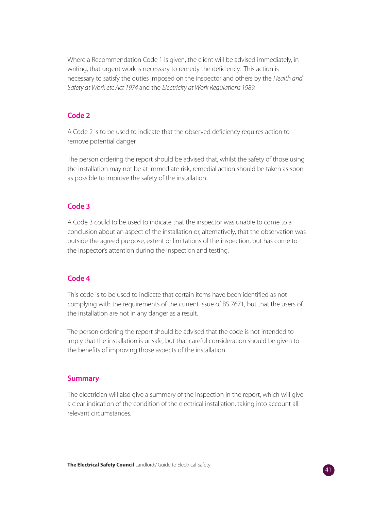Where a Recommendation Code 1 is given, the client will be advised immediately, in writing, that urgent work is necessary to remedy the deficiency. This action is necessary to satisfy the duties imposed on the inspector and others by the Health and Safety at Work etc Act 1974 and the Electricity at Work Regulations 1989.

#### **Code 2**

A Code 2 is to be used to indicate that the observed deficiency requires action to remove potential danger.

The person ordering the report should be advised that, whilst the safety of those using the installation may not be at immediate risk, remedial action should be taken as soon as possible to improve the safety of the installation.

#### **Code 3**

A Code 3 could to be used to indicate that the inspector was unable to come to a conclusion about an aspect of the installation or, alternatively, that the observation was outside the agreed purpose, extent or limitations of the inspection, but has come to the inspector's attention during the inspection and testing.

#### **Code 4**

This code is to be used to indicate that certain items have been identified as not complying with the requirements of the current issue of BS 7671, but that the users of the installation are not in any danger as a result.

The person ordering the report should be advised that the code is not intended to imply that the installation is unsafe, but that careful consideration should be given to the benefits of improving those aspects of the installation.

#### **Summary**

The electrician will also give a summary of the inspection in the report, which will give a clear indication of the condition of the electrical installation, taking into account all relevant circumstances.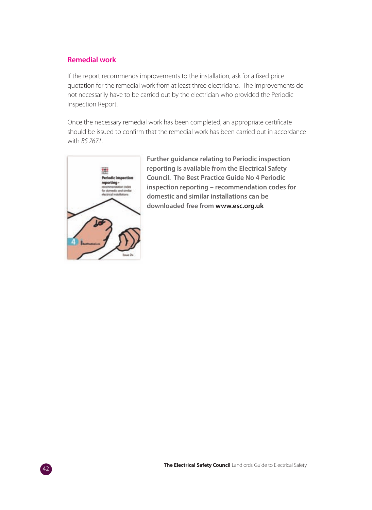#### **Remedial work**

If the report recommends improvements to the installation, ask for a fixed price quotation for the remedial work from at least three electricians. The improvements do not necessarily have to be carried out by the electrician who provided the Periodic Inspection Report.

Once the necessary remedial work has been completed, an appropriate certificate should be issued to confirm that the remedial work has been carried out in accordance with BS 7671.



**Further guidance relating to Periodic inspection reporting is available from the Electrical Safety Council. The Best Practice Guide No 4 Periodic inspection reporting – recommendation codes for domestic and similar installations can be downloaded free from www.esc.org.uk**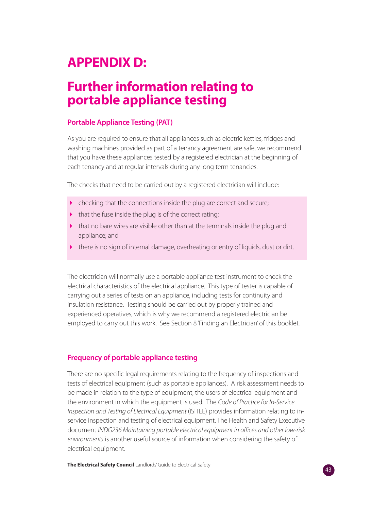## **APPENDIX D:**

### **Further information relating to portable appliance testing**

#### **Portable Appliance Testing (PAT)**

As you are required to ensure that all appliances such as electric kettles, fridges and washing machines provided as part of a tenancy agreement are safe, we recommend that you have these appliances tested by a registered electrician at the beginning of each tenancy and at regular intervals during any long term tenancies.

The checks that need to be carried out by a registered electrician will include:

- checking that the connections inside the plug are correct and secure;
- $\blacktriangleright$  that the fuse inside the plug is of the correct rating;
- that no bare wires are visible other than at the terminals inside the plug and appliance; and
- there is no sign of internal damage, overheating or entry of liquids, dust or dirt.

The electrician will normally use a portable appliance test instrument to check the electrical characteristics of the electrical appliance. This type of tester is capable of carrying out a series of tests on an appliance, including tests for continuity and insulation resistance. Testing should be carried out by properly trained and experienced operatives, which is why we recommend a registered electrician be employed to carry out this work. See Section 8 'Finding an Electrician' of this booklet.

#### **Frequency of portable appliance testing**

There are no specific legal requirements relating to the frequency of inspections and tests of electrical equipment (such as portable appliances). A risk assessment needs to be made in relation to the type of equipment, the users of electrical equipment and the environment in which the equipment is used. The Code of Practice for In-Service Inspection and Testing of Electrical Equipment (ISITEE) provides information relating to inservice inspection and testing of electrical equipment. The Health and Safety Executive document INDG236 Maintaining portable electrical equipment in offices and other low-risk environments is another useful source of information when considering the safety of electrical equipment.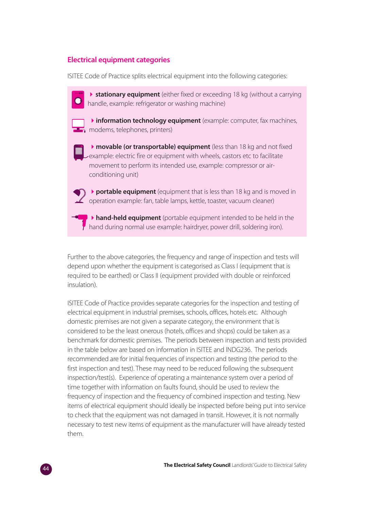#### **Electrical equipment categories**

ISITEE Code of Practice splits electrical equipment into the following categories:

**> stationary equipment** (either fixed or exceeding 18 kg (without a carrying handle, example: refrigerator or washing machine)

**hinformation technology equipment** (example: computer, fax machines, modems, telephones, printers)

**Inovable (or transportable) equipment** (less than 18 kg and not fixed example: electric fire or equipment with wheels, castors etc to facilitate movement to perform its intended use, example: compressor or airconditioning unit)

**• portable equipment** (equipment that is less than 18 kg and is moved in operation example: fan, table lamps, kettle, toaster, vacuum cleaner)

-**hand-held equipment** (portable equipment intended to be held in the  $\overline{r}$  hand during normal use example: hairdryer, power drill, soldering iron).

Further to the above categories, the frequency and range of inspection and tests will depend upon whether the equipment is categorised as Class I (equipment that is required to be earthed) or Class II (equipment provided with double or reinforced insulation).

ISITEE Code of Practice provides separate categories for the inspection and testing of electrical equipment in industrial premises, schools, offices, hotels etc. Although domestic premises are not given a separate category, the environment that is considered to be the least onerous (hotels, offices and shops) could be taken as a benchmark for domestic premises. The periods between inspection and tests provided in the table below are based on information in ISITEE and INDG236. The periods recommended are for initial frequencies of inspection and testing (the period to the first inspection and test). These may need to be reduced following the subsequent inspection/test(s). Experience of operating a maintenance system over a period of time together with information on faults found, should be used to review the frequency of inspection and the frequency of combined inspection and testing. New items of electrical equipment should ideally be inspected before being put into service to check that the equipment was not damaged in transit. However, it is not normally necessary to test new items of equipment as the manufacturer will have already tested them.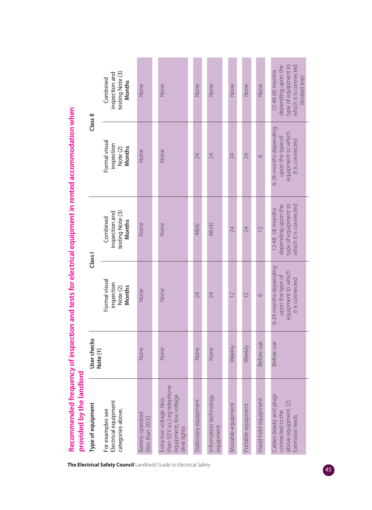| provided by the landlord<br>Type of equipment                                                     | User checks |                                                                                    | Class I                                                                                 | Class II                                                                           |                                                                                                             |
|---------------------------------------------------------------------------------------------------|-------------|------------------------------------------------------------------------------------|-----------------------------------------------------------------------------------------|------------------------------------------------------------------------------------|-------------------------------------------------------------------------------------------------------------|
| Electrical equipment<br>For examples see<br>categories above.                                     | Note (1)    | Formal visual<br>inspection<br><b>Months</b><br>Note (2)                           | inspection and<br>testing Note (3)<br>Combined<br><b>Months</b>                         | Formal visual<br>inspection<br><b>Months</b><br>Note (2)                           | inspection and<br>testing Note (3)<br>Combined<br><b>Months</b>                                             |
| <b>Battery operated</b><br>(less than 20 V)                                                       | None        | None                                                                               | None                                                                                    | None                                                                               | None                                                                                                        |
| than 50 V a.c.) eg telephone<br>equipment, low voltage<br>desk lights<br>Extra-low voltage: (less | None        | None                                                                               | None                                                                                    | None                                                                               | None                                                                                                        |
| Stationary equipment                                                                              | None        | 24                                                                                 | 48(4)                                                                                   | 24                                                                                 | None                                                                                                        |
| Information technology<br>equipment                                                               | None        | 24                                                                                 | 48(4)                                                                                   | 24                                                                                 | None                                                                                                        |
| Movable equipment                                                                                 | Weekly      | $\overline{C}$                                                                     | 24                                                                                      | 24                                                                                 | None                                                                                                        |
| Portable equipment                                                                                | Weekly      | $\overline{C}$                                                                     | 24                                                                                      | 24                                                                                 | None                                                                                                        |
| Hand-held equipment                                                                               | Before use  | $\circ$                                                                            | $\overline{12}$                                                                         | $\circ$                                                                            | None                                                                                                        |
| Cables (leads) and plugs<br>above equipment. (2)<br>connected to the<br>Extension leads           | Before use  | 6-24 months depending<br>equipment to which<br>upon the type of<br>it is connected | type of equipment to<br>depending upon the<br>which it is connected<br>12-48 (4) months | 6-24 months depending<br>equipment to which<br>upon the type of<br>it is connected | depending upon the<br>type of equipment to<br>which it is connected<br>$12-48$ (4) months<br>(limited test) |

Recommended frequency of inspection and tests for electrical equipment in rented accommodation when **Recommended frequency of inspection and tests for electrical equipment in rented accommodation when**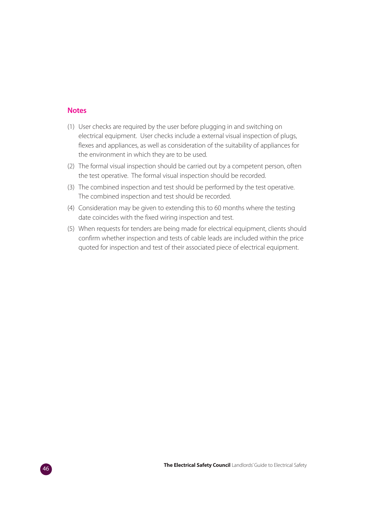#### **Notes**

- (1) User checks are required by the user before plugging in and switching on electrical equipment. User checks include a external visual inspection of plugs, flexes and appliances, as well as consideration of the suitability of appliances for the environment in which they are to be used.
- (2) The formal visual inspection should be carried out by a competent person, often the test operative. The formal visual inspection should be recorded.
- (3) The combined inspection and test should be performed by the test operative. The combined inspection and test should be recorded.
- (4) Consideration may be given to extending this to 60 months where the testing date coincides with the fixed wiring inspection and test.
- (5) When requests for tenders are being made for electrical equipment, clients should confirm whether inspection and tests of cable leads are included within the price quoted for inspection and test of their associated piece of electrical equipment.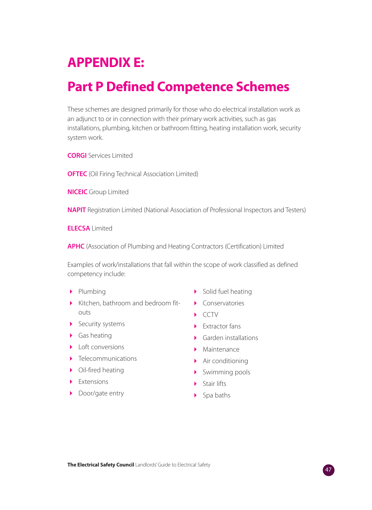### **APPENDIX E:**

### **Part P Defined Competence Schemes**

These schemes are designed primarily for those who do electrical installation work as an adjunct to or in connection with their primary work activities, such as gas installations, plumbing, kitchen or bathroom fitting, heating installation work, security system work.

**CORGI** Services Limited

**OFTEC** (Oil Firing Technical Association Limited)

**NICEIC** Group Limited

**NAPIT** Registration Limited (National Association of Professional Inspectors and Testers)

**ELECSA** Limited

**APHC** (Association of Plumbing and Heating Contractors (Certification) Limited

Examples of work/installations that fall within the scope of work classified as defined competency include:

- Plumbing
- Kitchen, bathroom and bedroom fitouts
- Security systems
- **•** Gas heating
- Loft conversions
- Telecommunications
- Oil-fired heating
- Extensions
- Door/gate entry
- Solid fuel heating
- Conservatories
- CCTV
- Extractor fans
- Garden installations
- Maintenance
- Air conditioning
- Swimming pools
- Stair lifts
- ▶ Spa baths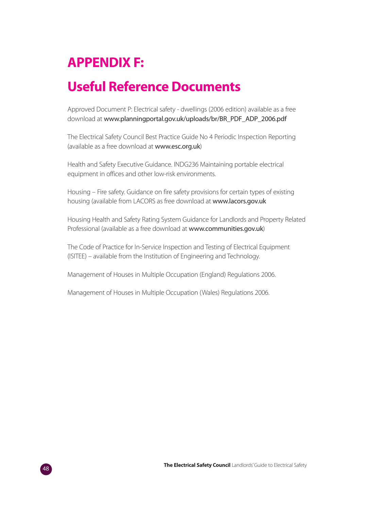## **APPENDIX F:**

### **Useful Reference Documents**

Approved Document P: Electrical safety - dwellings (2006 edition) available as a free download at www.planningportal.gov.uk/uploads/br/BR\_PDF\_ADP\_2006.pdf

The Electrical Safety Council Best Practice Guide No 4 Periodic Inspection Reporting (available as a free download at www.esc.org.uk)

Health and Safety Executive Guidance. INDG236 Maintaining portable electrical equipment in offices and other low-risk environments.

Housing – Fire safety. Guidance on fire safety provisions for certain types of existing housing (available from LACORS as free download at www.lacors.gov.uk

Housing Health and Safety Rating System Guidance for Landlords and Property Related Professional (available as a free download at www.communities.gov.uk)

The Code of Practice for In-Service Inspection and Testing of Electrical Equipment (ISITEE) – available from the Institution of Engineering and Technology.

Management of Houses in Multiple Occupation (England) Regulations 2006.

Management of Houses in Multiple Occupation (Wales) Regulations 2006.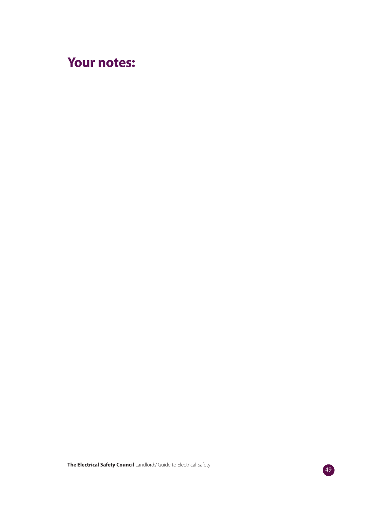### **Your notes:**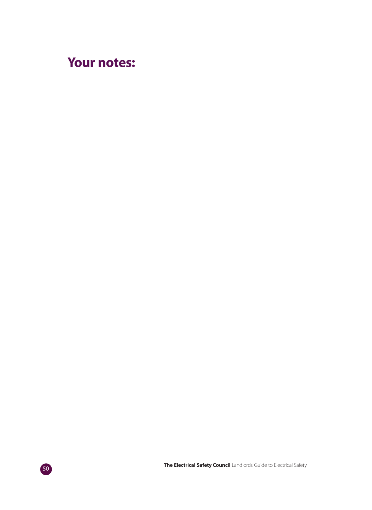### **Your notes:**